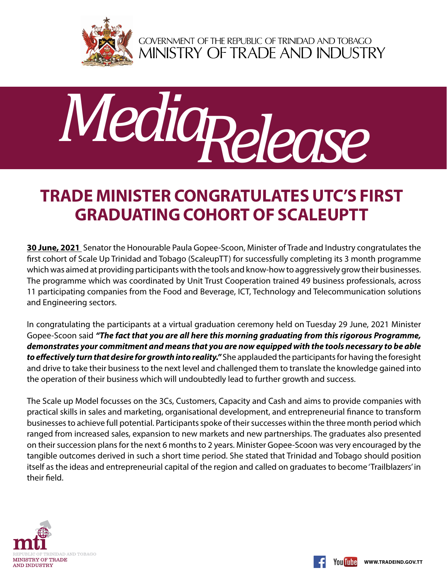

GOVERNMENT OF THE REPUBLIC OF TRINIDAD AND TOBAGO<br>MINISTRY OF TRADE AND INDUSTRY



## **Trade Minister congratulates UTC's first graduating cohort of ScaleUpTT**

**30 June, 2021** Senator the Honourable Paula Gopee-Scoon, Minister of Trade and Industry congratulates the first cohort of Scale Up Trinidad and Tobago (ScaleupTT) for successfully completing its 3 month programme which was aimed at providing participants with the tools and know-how to aggressively grow their businesses. The programme which was coordinated by Unit Trust Cooperation trained 49 business professionals, across 11 participating companies from the Food and Beverage, ICT, Technology and Telecommunication solutions and Engineering sectors.

In congratulating the participants at a virtual graduation ceremony held on Tuesday 29 June, 2021 Minister Gopee-Scoon said *"The fact that you are all here this morning graduating from this rigorous Programme, demonstrates your commitment and means that you are now equipped with the tools necessary to be able to effectively turn that desire for growth into reality."* She applauded the participants for having the foresight and drive to take their business to the next level and challenged them to translate the knowledge gained into the operation of their business which will undoubtedly lead to further growth and success.

The Scale up Model focusses on the 3Cs, Customers, Capacity and Cash and aims to provide companies with practical skills in sales and marketing, organisational development, and entrepreneurial finance to transform businesses to achieve full potential. Participants spoke of their successes within the three month period which ranged from increased sales, expansion to new markets and new partnerships. The graduates also presented on their succession plans for the next 6 months to 2 years. Minister Gopee-Scoon was very encouraged by the tangible outcomes derived in such a short time period. She stated that Trinidad and Tobago should position itself as the ideas and entrepreneurial capital of the region and called on graduates to become 'Trailblazers' in their field.